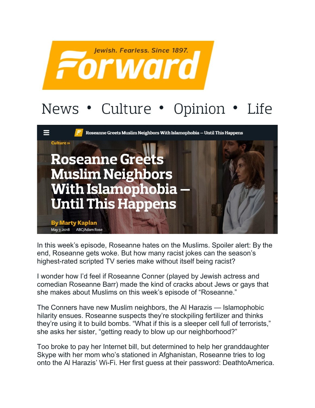

## News • Culture • Opinion • Life



In this week's episode, Roseanne hates on the Muslims. Spoiler alert: By the end, Roseanne gets woke. But how many racist jokes can the season's highest-rated scripted TV series make without itself being racist?

I wonder how I'd feel if Roseanne Conner (played by Jewish actress and comedian Roseanne Barr) made the kind of cracks about Jews or gays that she makes about Muslims on this week's episode of "Roseanne."

The Conners have new Muslim neighbors, the Al Harazis — Islamophobic hilarity ensues. Roseanne suspects they're stockpiling fertilizer and thinks they're using it to build bombs. "What if this is a sleeper cell full of terrorists," she asks her sister, "getting ready to blow up our neighborhood?"

Too broke to pay her Internet bill, but determined to help her granddaughter Skype with her mom who's stationed in Afghanistan, Roseanne tries to log onto the Al Harazis' Wi-Fi. Her first guess at their password: DeathtoAmerica.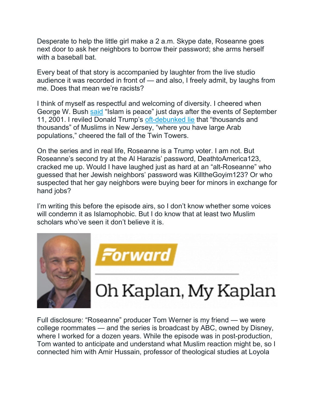Desperate to help the little girl make a 2 a.m. Skype date, Roseanne goes next door to ask her neighbors to borrow their password; she arms herself with a baseball bat.

Every beat of that story is accompanied by laughter from the live studio audience it was recorded in front of — and also, I freely admit, by laughs from me. Does that mean we're racists?

I think of myself as respectful and welcoming of diversity. I cheered when George W. Bush [said](https://qz.com/1074258/911-video-and-text-of-george-w-bushs-islam-and-peace-speech/) "Islam is peace" just days after the events of September 11, 2001. I reviled Donald Trump's [oft-debunked lie](http://www.politifact.com/truth-o-meter/article/2015/dec/02/new-information-doesnt-fix-donald-trumps-911-claim/) that "thousands and thousands" of Muslims in New Jersey, "where you have large Arab populations," cheered the fall of the Twin Towers.

On the series and in real life, Roseanne is a Trump voter. I am not. But Roseanne's second try at the Al Harazis' password, DeathtoAmerica123, cracked me up. Would I have laughed just as hard at an "alt-Roseanne" who guessed that her Jewish neighbors' password was KilltheGoyim123? Or who suspected that her gay neighbors were buying beer for minors in exchange for hand jobs?

I'm writing this before the episode airs, so I don't know whether some voices will condemn it as Islamophobic. But I do know that at least two Muslim scholars who've seen it don't believe it is.



Forward

## Oh Kaplan, My Kaplan

Full disclosure: "Roseanne" producer Tom Werner is my friend — we were college roommates — and the series is broadcast by ABC, owned by Disney, where I worked for a dozen years. While the episode was in post-production, Tom wanted to anticipate and understand what Muslim reaction might be, so I connected him with Amir Hussain, professor of theological studies at Loyola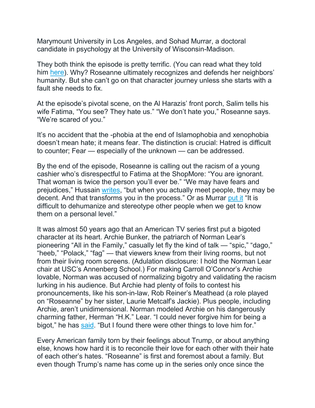Marymount University in Los Angeles, and Sohad Murrar, a doctoral candidate in psychology at the University of Wisconsin-Madison.

They both think the episode is pretty terrific. (You can read what they told him [here\)](https://learcenter.org/roseanne-new-neighbors-theyre-muslim/). Why? Roseanne ultimately recognizes and defends her neighbors' humanity. But she can't go on that character journey unless she starts with a fault she needs to fix.

At the episode's pivotal scene, on the Al Harazis' front porch, Salim tells his wife Fatima, "You see? They hate us." "We don't hate you," Roseanne says. "We're scared of you."

It's no accident that the -phobia at the end of Islamophobia and xenophobia doesn't mean hate; it means fear. The distinction is crucial: Hatred is difficult to counter; Fear — especially of the unknown — can be addressed.

By the end of the episode, Roseanne is calling out the racism of a young cashier who's disrespectful to Fatima at the ShopMore: "You are ignorant. That woman is twice the person you'll ever be." "We may have fears and prejudices," Hussain [writes,](https://learcenter.org/why-muslim-tv-characters-matter/) "but when you actually meet people, they may be decent. And that transforms you in the process." Or as Murrar [put it](https://learcenter.org/roseanne-takes-on-islamophobia/,) "It is difficult to dehumanize and stereotype other people when we get to know them on a personal level."

It was almost 50 years ago that an American TV series first put a bigoted character at its heart. Archie Bunker, the patriarch of Norman Lear's pioneering "All in the Family," casually let fly the kind of talk — "spic," "dago," "heeb," "Polack," "fag" — that viewers knew from their living rooms, but not from their living room screens. (Adulation disclosure: I hold the Norman Lear chair at USC's Annenberg School.) For making Carroll O'Connor's Archie lovable, Norman was accused of normalizing bigotry and validating the racism lurking in his audience. But Archie had plenty of foils to contest his pronouncements, like his son-in-law, Rob Reiner's Meathead (a role played on "Roseanne" by her sister, Laurie Metcalf's Jackie). Plus people, including Archie, aren't unidimensional. Norman modeled Archie on his dangerously charming father, Herman "H.K." Lear. "I could never forgive him for being a bigot," he has [said.](https://www.washingtonpost.com/archive/lifestyle/2001/06/23/archie-bunkers-heart/cec2357f-4318-436f-8c47-4e7f6155aa5f) "But I found there were other things to love him for."

Every American family torn by their feelings about Trump, or about anything else, knows how hard it is to reconcile their love for each other with their hate of each other's hates. "Roseanne" is first and foremost about a family. But even though Trump's name has come up in the series only once since the